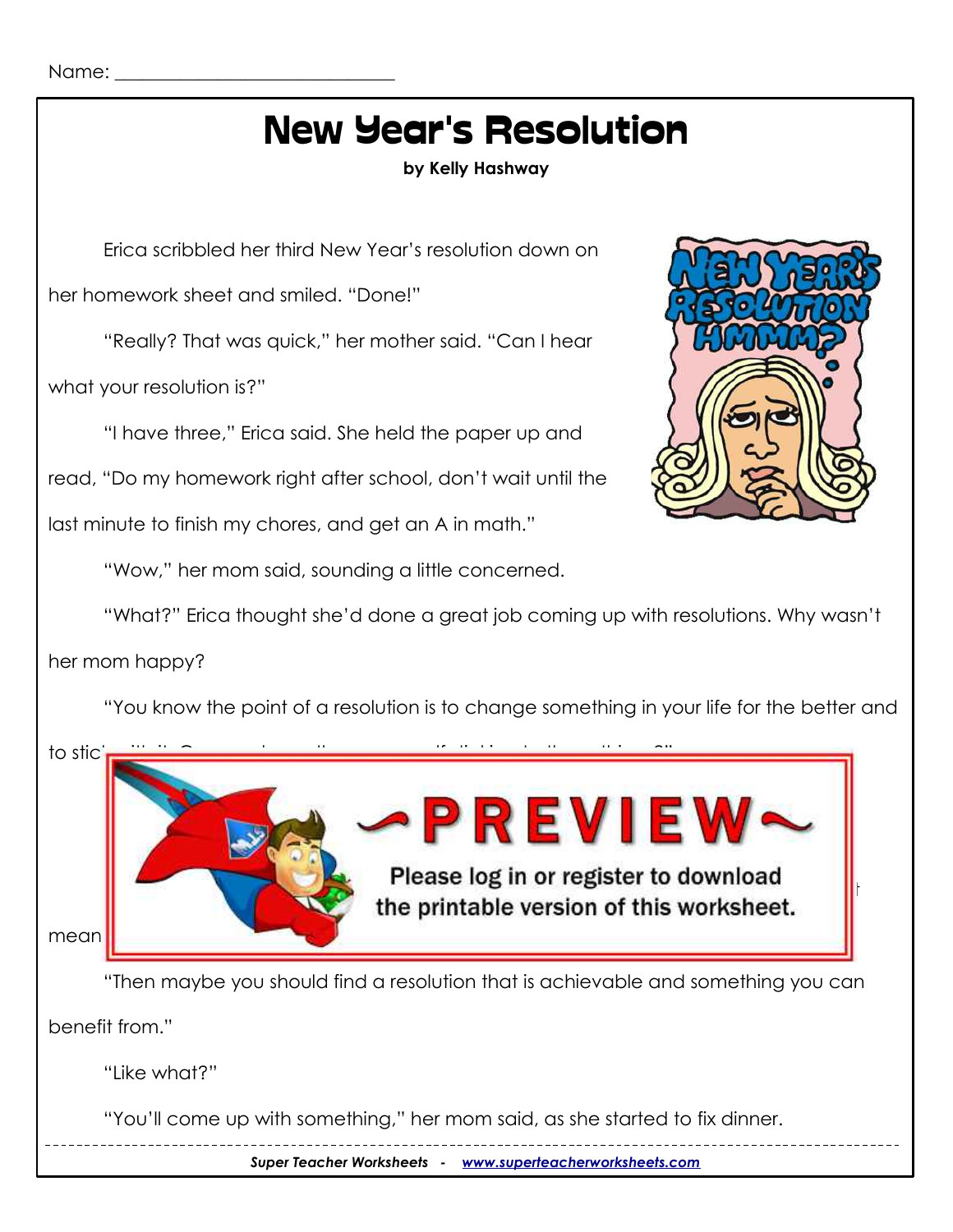Name:

# New Year's Resolution

**by Kelly Hashway**

Erica scribbled her third New Year's resolution down on

her homework sheet and smiled. "Done!"

"Really? That was quick," her mother said. "Can I hear

what your resolution is?"

"I have three," Erica said. She held the paper up and

read, "Do my homework right after school, don't wait until the

last minute to finish my chores, and get an A in math."

"Wow," her mom said, sounding a little concerned.



"What?" Erica thought she'd done a great job coming up with resolutions. Why wasn't

#### her mom happy?

"You know the point of a resolution is to change something in your life for the better and



*Super Teacher Worksheets - [www.superteacherworksheets.com](http://www.superteacherworksheets.com/)*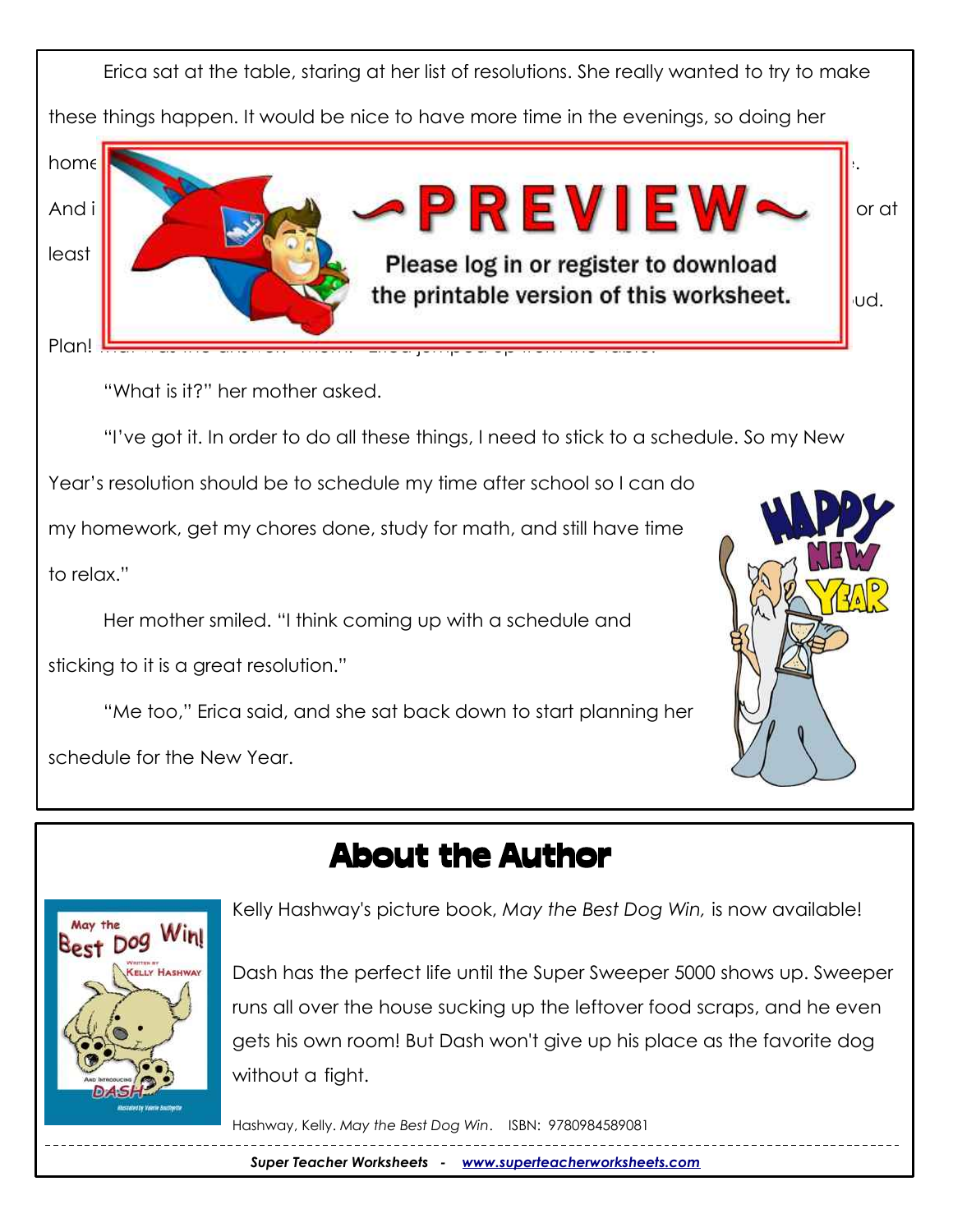

## About the Author



Kelly Hashway's picture book, *May the Best Dog Win,* is now available!

Dash has the perfect life until the Super Sweeper 5000 shows up. Sweeper runs all over the house sucking up the leftover food scraps, and he even gets his own room! But Dash won't give up his place as the favorite dog without a fight.

Hashway, Kelly. *May the Best Dog Win*. ISBN: 9780984589081

*Super Teacher Worksheets - [www.superteacherworksheets.com](http://www.superteacherworksheets.com/)*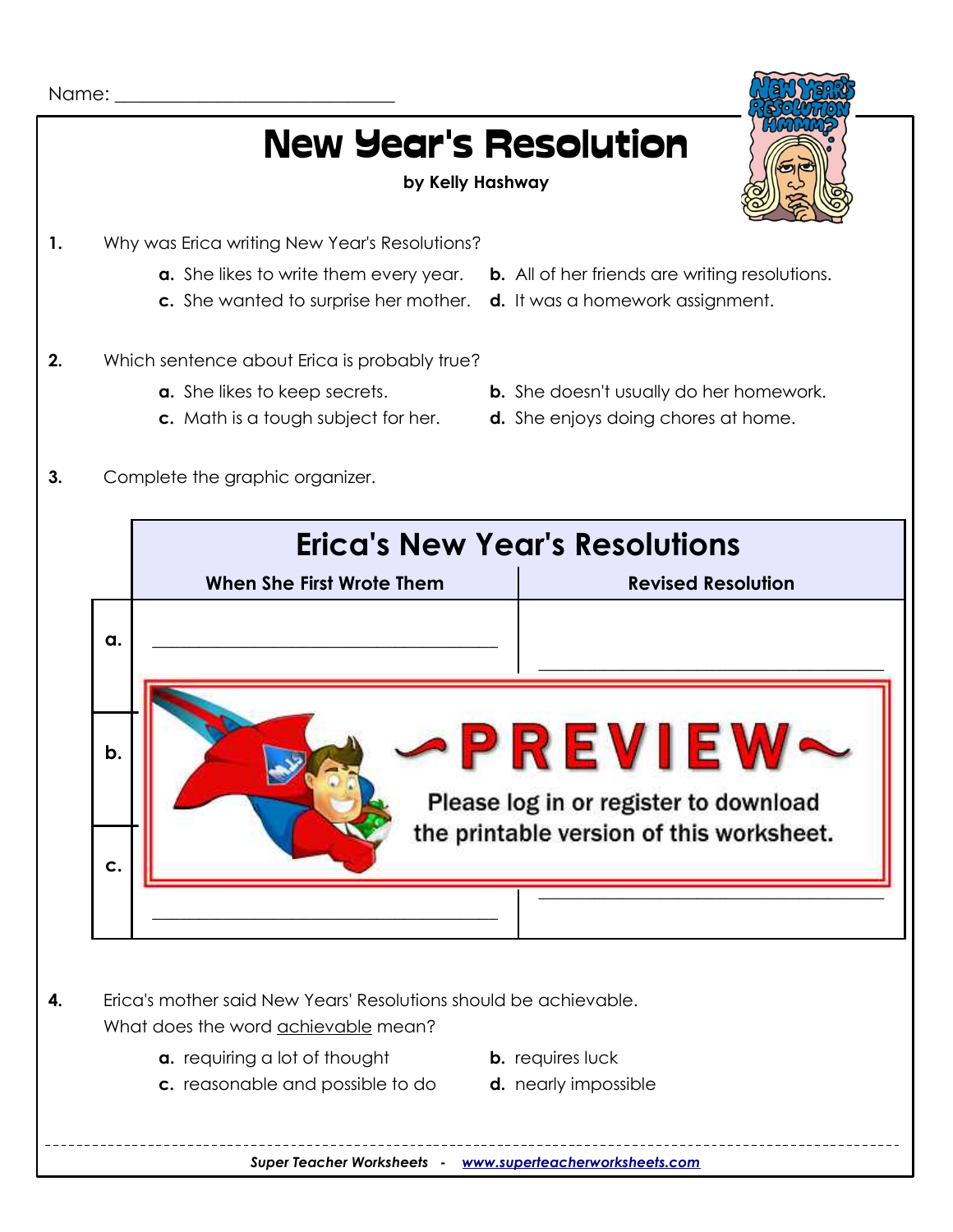

# New Year's Resolution

#### **by Kelly Hashway**



- 
- **c.** She wanted to surprise her mother. **d.** It was a homework assignment.
- **2.** Which sentence about Erica is probably true?
	-
	-
- **a.** She likes to write them every year. **b.** All of her friends are writing resolutions.
	-
- **a.** She likes to keep secrets. **b.** She doesn't usually do her homework.
- **c.** Math is a tough subject for her. **d.** She enjoys doing chores at home.
- **3.** Complete the graphic organizer.



*Super Teacher Worksheets - [www.superteacherworksheets.com](http://www.superteacherworksheets.com/)*

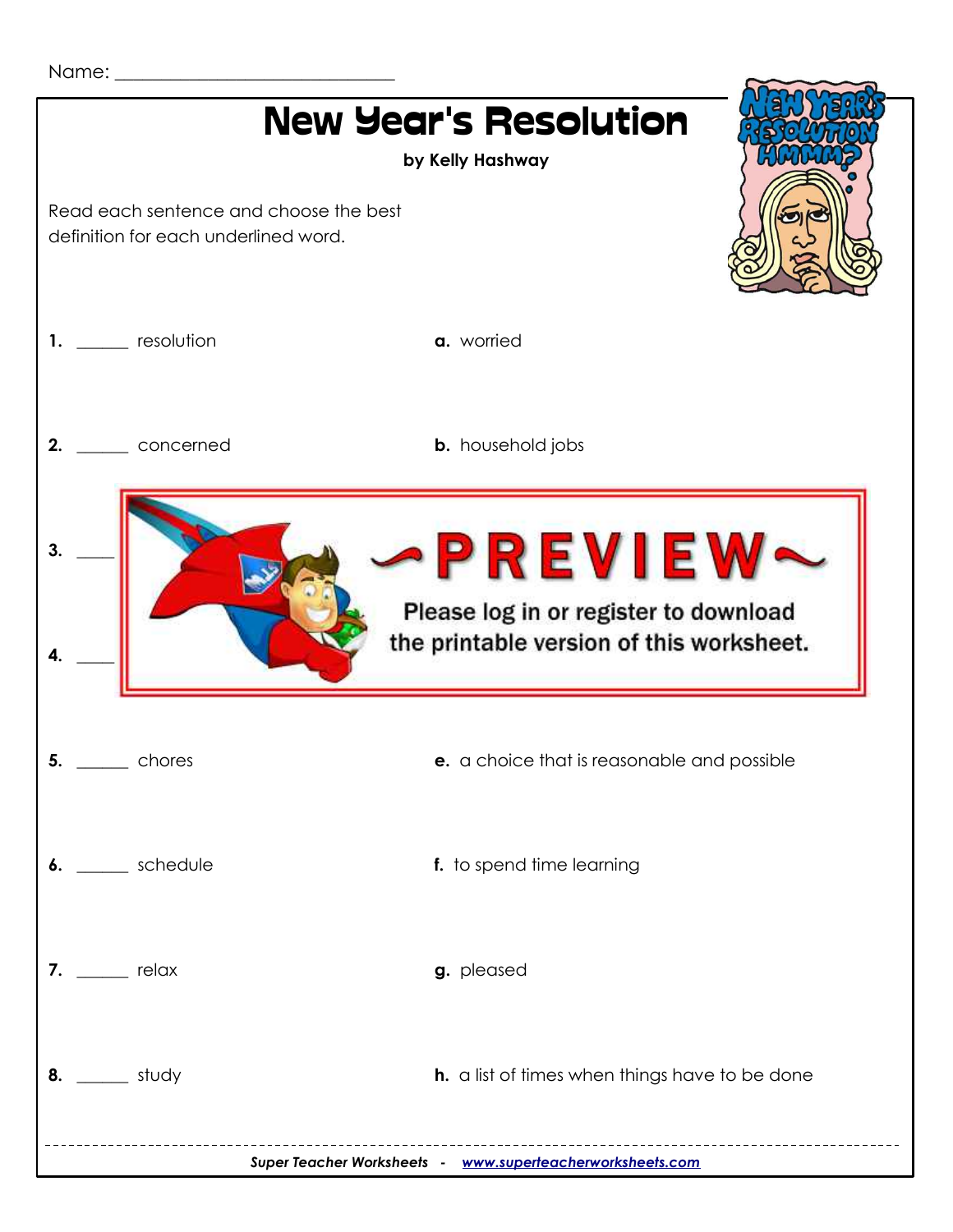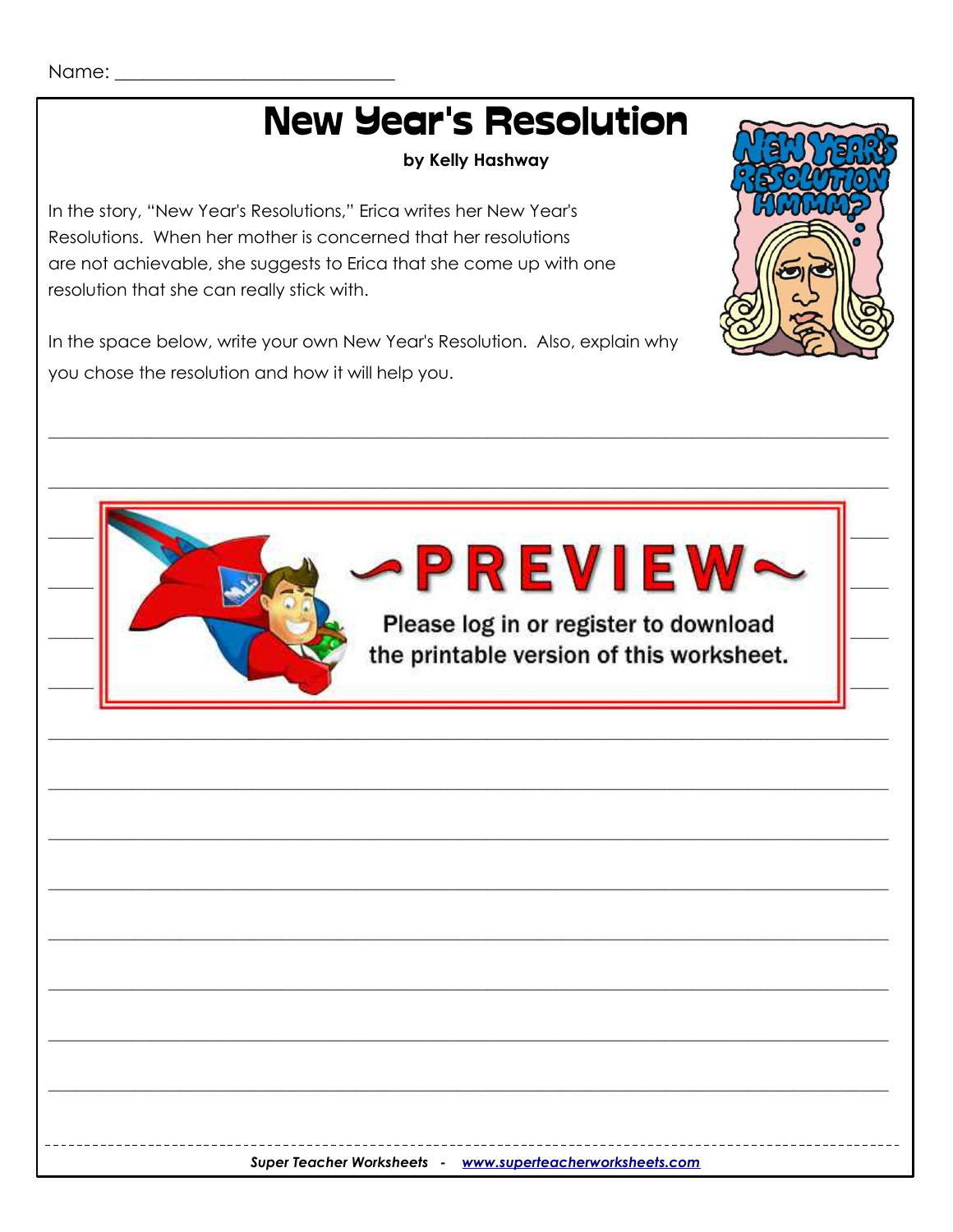# **New Year's Resolution**

by Kelly Hashway

In the story, "New Year's Resolutions," Erica writes her New Year's Resolutions. When her mother is concerned that her resolutions are not achievable, she suggests to Erica that she come up with one resolution that she can really stick with.

In the space below, write your own New Year's Resolution. Also, explain why you chose the resolution and how it will help you.



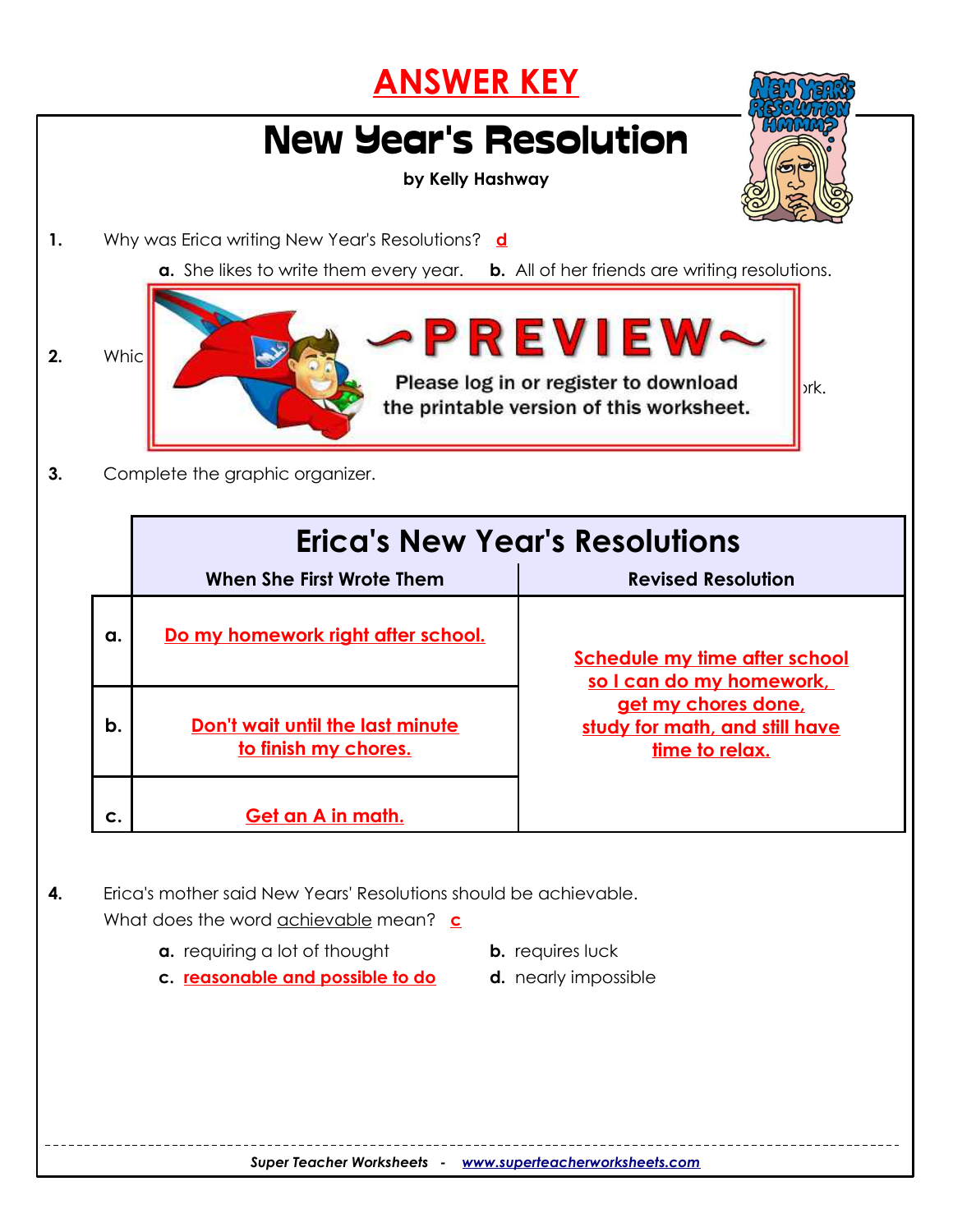### **ANSWER KEY** New Year's Resolution **by Kelly Hashway 1.** Why was Erica writing New Year's Resolutions? **d a.** She likes to write them every year. **b.** All of her friends are writing resolutions. **c.** She wanted to surprise her mother. **d. It was a homework assignment.**  $_2$   $_{\text{wnic}}$   $\sim$  **PREVIEW Please log in or register to download b**<sub>ork.</sub> the printable version of this worksheet. **3.** Complete the graphic organizer. **Erica's New Year's Resolutions When She First Wrote Them Revised Resolution a. Do my homework right after school. Schedule my time after school so I can do my homework, get my chores done, study for math, and still have time to relax. b.** Don't wait until the last minute **to finish my chores. c.** | Get an A in math. **4.** Erica's mother said New Years' Resolutions should be achievable. What does the word achievable mean? **c**

- **a.** requiring a lot of thought **b.** requires luck
	-
- **c. reasonable and possible to do d.** nearly impossible
-